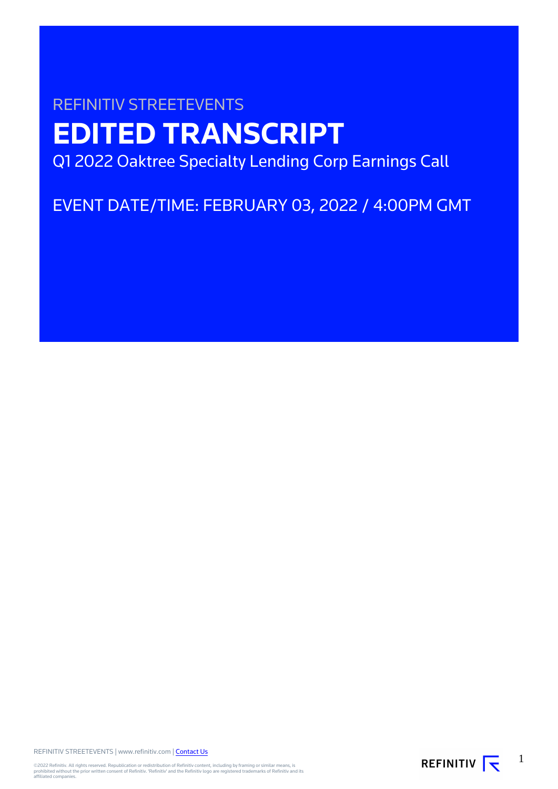# REFINITIV STREETEVENTS **EDITED TRANSCRIPT** Q1 2022 Oaktree Specialty Lending Corp Earnings Call

EVENT DATE/TIME: FEBRUARY 03, 2022 / 4:00PM GMT

REFINITIV STREETEVENTS | www.refinitiv.com | [Contact Us](https://www.refinitiv.com/en/contact-us)

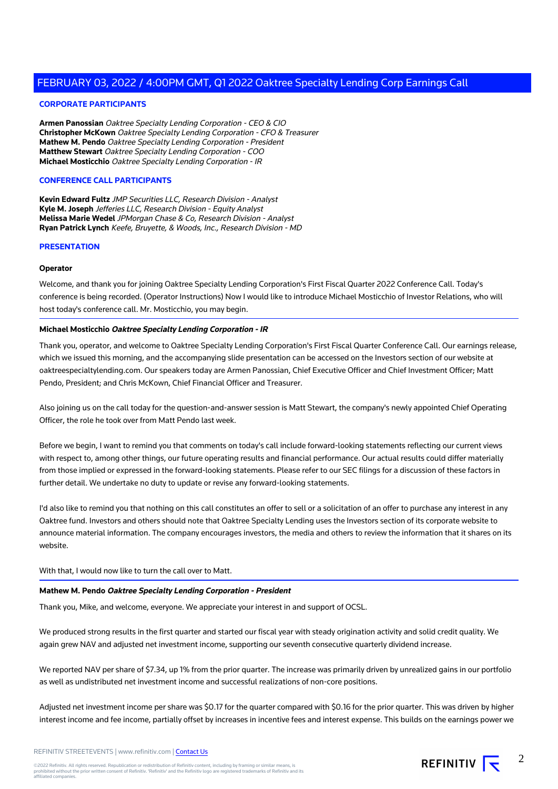# **CORPORATE PARTICIPANTS**

**Armen Panossian** Oaktree Specialty Lending Corporation - CEO & CIO **Christopher McKown** Oaktree Specialty Lending Corporation - CFO & Treasurer **Mathew M. Pendo** Oaktree Specialty Lending Corporation - President **Matthew Stewart** Oaktree Specialty Lending Corporation - COO **Michael Mosticchio** Oaktree Specialty Lending Corporation - IR

## **CONFERENCE CALL PARTICIPANTS**

**Kevin Edward Fultz** JMP Securities LLC, Research Division - Analyst **Kyle M. Joseph** Jefferies LLC, Research Division - Equity Analyst **Melissa Marie Wedel** JPMorgan Chase & Co, Research Division - Analyst **Ryan Patrick Lynch** Keefe, Bruyette, & Woods, Inc., Research Division - MD

## **PRESENTATION**

#### **Operator**

Welcome, and thank you for joining Oaktree Specialty Lending Corporation's First Fiscal Quarter 2022 Conference Call. Today's conference is being recorded. (Operator Instructions) Now I would like to introduce Michael Mosticchio of Investor Relations, who will host today's conference call. Mr. Mosticchio, you may begin.

#### **Michael Mosticchio Oaktree Specialty Lending Corporation - IR**

Thank you, operator, and welcome to Oaktree Specialty Lending Corporation's First Fiscal Quarter Conference Call. Our earnings release, which we issued this morning, and the accompanying slide presentation can be accessed on the Investors section of our website at oaktreespecialtylending.com. Our speakers today are Armen Panossian, Chief Executive Officer and Chief Investment Officer; Matt Pendo, President; and Chris McKown, Chief Financial Officer and Treasurer.

Also joining us on the call today for the question-and-answer session is Matt Stewart, the company's newly appointed Chief Operating Officer, the role he took over from Matt Pendo last week.

Before we begin, I want to remind you that comments on today's call include forward-looking statements reflecting our current views with respect to, among other things, our future operating results and financial performance. Our actual results could differ materially from those implied or expressed in the forward-looking statements. Please refer to our SEC filings for a discussion of these factors in further detail. We undertake no duty to update or revise any forward-looking statements.

I'd also like to remind you that nothing on this call constitutes an offer to sell or a solicitation of an offer to purchase any interest in any Oaktree fund. Investors and others should note that Oaktree Specialty Lending uses the Investors section of its corporate website to announce material information. The company encourages investors, the media and others to review the information that it shares on its website.

With that, I would now like to turn the call over to Matt.

#### **Mathew M. Pendo Oaktree Specialty Lending Corporation - President**

Thank you, Mike, and welcome, everyone. We appreciate your interest in and support of OCSL.

We produced strong results in the first quarter and started our fiscal year with steady origination activity and solid credit quality. We again grew NAV and adjusted net investment income, supporting our seventh consecutive quarterly dividend increase.

We reported NAV per share of \$7.34, up 1% from the prior quarter. The increase was primarily driven by unrealized gains in our portfolio as well as undistributed net investment income and successful realizations of non-core positions.

Adjusted net investment income per share was \$0.17 for the quarter compared with \$0.16 for the prior quarter. This was driven by higher interest income and fee income, partially offset by increases in incentive fees and interest expense. This builds on the earnings power we

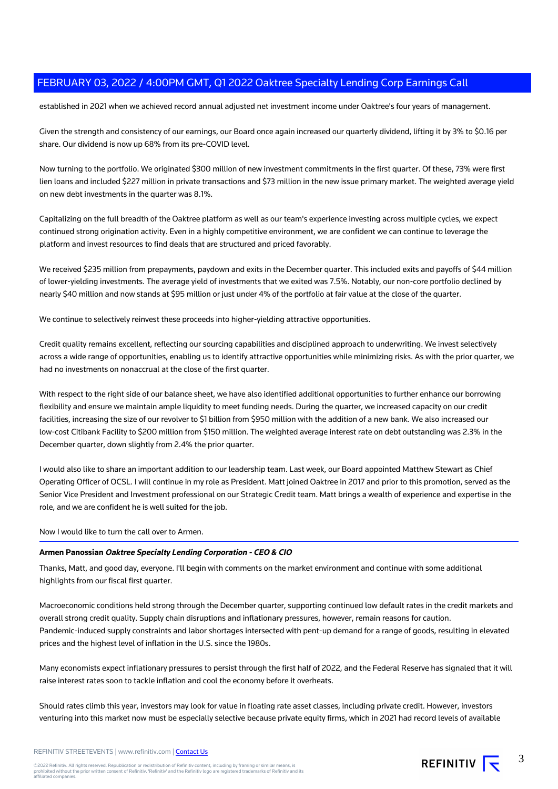established in 2021 when we achieved record annual adjusted net investment income under Oaktree's four years of management.

Given the strength and consistency of our earnings, our Board once again increased our quarterly dividend, lifting it by 3% to \$0.16 per share. Our dividend is now up 68% from its pre-COVID level.

Now turning to the portfolio. We originated \$300 million of new investment commitments in the first quarter. Of these, 73% were first lien loans and included \$227 million in private transactions and \$73 million in the new issue primary market. The weighted average yield on new debt investments in the quarter was 8.1%.

Capitalizing on the full breadth of the Oaktree platform as well as our team's experience investing across multiple cycles, we expect continued strong origination activity. Even in a highly competitive environment, we are confident we can continue to leverage the platform and invest resources to find deals that are structured and priced favorably.

We received \$235 million from prepayments, paydown and exits in the December quarter. This included exits and payoffs of \$44 million of lower-yielding investments. The average yield of investments that we exited was 7.5%. Notably, our non-core portfolio declined by nearly \$40 million and now stands at \$95 million or just under 4% of the portfolio at fair value at the close of the quarter.

We continue to selectively reinvest these proceeds into higher-yielding attractive opportunities.

Credit quality remains excellent, reflecting our sourcing capabilities and disciplined approach to underwriting. We invest selectively across a wide range of opportunities, enabling us to identify attractive opportunities while minimizing risks. As with the prior quarter, we had no investments on nonaccrual at the close of the first quarter.

With respect to the right side of our balance sheet, we have also identified additional opportunities to further enhance our borrowing flexibility and ensure we maintain ample liquidity to meet funding needs. During the quarter, we increased capacity on our credit facilities, increasing the size of our revolver to \$1 billion from \$950 million with the addition of a new bank. We also increased our low-cost Citibank Facility to \$200 million from \$150 million. The weighted average interest rate on debt outstanding was 2.3% in the December quarter, down slightly from 2.4% the prior quarter.

I would also like to share an important addition to our leadership team. Last week, our Board appointed Matthew Stewart as Chief Operating Officer of OCSL. I will continue in my role as President. Matt joined Oaktree in 2017 and prior to this promotion, served as the Senior Vice President and Investment professional on our Strategic Credit team. Matt brings a wealth of experience and expertise in the role, and we are confident he is well suited for the job.

Now I would like to turn the call over to Armen.

# **Armen Panossian Oaktree Specialty Lending Corporation - CEO & CIO**

Thanks, Matt, and good day, everyone. I'll begin with comments on the market environment and continue with some additional highlights from our fiscal first quarter.

Macroeconomic conditions held strong through the December quarter, supporting continued low default rates in the credit markets and overall strong credit quality. Supply chain disruptions and inflationary pressures, however, remain reasons for caution. Pandemic-induced supply constraints and labor shortages intersected with pent-up demand for a range of goods, resulting in elevated prices and the highest level of inflation in the U.S. since the 1980s.

Many economists expect inflationary pressures to persist through the first half of 2022, and the Federal Reserve has signaled that it will raise interest rates soon to tackle inflation and cool the economy before it overheats.

Should rates climb this year, investors may look for value in floating rate asset classes, including private credit. However, investors venturing into this market now must be especially selective because private equity firms, which in 2021 had record levels of available

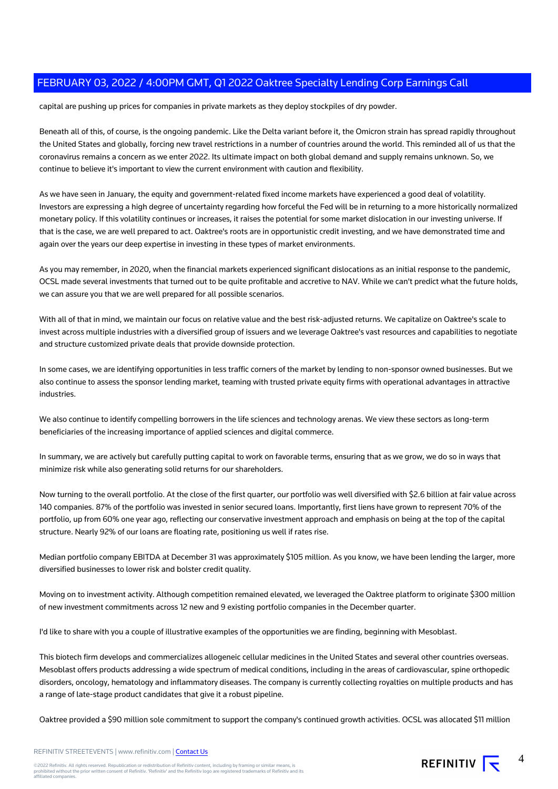capital are pushing up prices for companies in private markets as they deploy stockpiles of dry powder.

Beneath all of this, of course, is the ongoing pandemic. Like the Delta variant before it, the Omicron strain has spread rapidly throughout the United States and globally, forcing new travel restrictions in a number of countries around the world. This reminded all of us that the coronavirus remains a concern as we enter 2022. Its ultimate impact on both global demand and supply remains unknown. So, we continue to believe it's important to view the current environment with caution and flexibility.

As we have seen in January, the equity and government-related fixed income markets have experienced a good deal of volatility. Investors are expressing a high degree of uncertainty regarding how forceful the Fed will be in returning to a more historically normalized monetary policy. If this volatility continues or increases, it raises the potential for some market dislocation in our investing universe. If that is the case, we are well prepared to act. Oaktree's roots are in opportunistic credit investing, and we have demonstrated time and again over the years our deep expertise in investing in these types of market environments.

As you may remember, in 2020, when the financial markets experienced significant dislocations as an initial response to the pandemic, OCSL made several investments that turned out to be quite profitable and accretive to NAV. While we can't predict what the future holds, we can assure you that we are well prepared for all possible scenarios.

With all of that in mind, we maintain our focus on relative value and the best risk-adjusted returns. We capitalize on Oaktree's scale to invest across multiple industries with a diversified group of issuers and we leverage Oaktree's vast resources and capabilities to negotiate and structure customized private deals that provide downside protection.

In some cases, we are identifying opportunities in less traffic corners of the market by lending to non-sponsor owned businesses. But we also continue to assess the sponsor lending market, teaming with trusted private equity firms with operational advantages in attractive industries.

We also continue to identify compelling borrowers in the life sciences and technology arenas. We view these sectors as long-term beneficiaries of the increasing importance of applied sciences and digital commerce.

In summary, we are actively but carefully putting capital to work on favorable terms, ensuring that as we grow, we do so in ways that minimize risk while also generating solid returns for our shareholders.

Now turning to the overall portfolio. At the close of the first quarter, our portfolio was well diversified with \$2.6 billion at fair value across 140 companies. 87% of the portfolio was invested in senior secured loans. Importantly, first liens have grown to represent 70% of the portfolio, up from 60% one year ago, reflecting our conservative investment approach and emphasis on being at the top of the capital structure. Nearly 92% of our loans are floating rate, positioning us well if rates rise.

Median portfolio company EBITDA at December 31 was approximately \$105 million. As you know, we have been lending the larger, more diversified businesses to lower risk and bolster credit quality.

Moving on to investment activity. Although competition remained elevated, we leveraged the Oaktree platform to originate \$300 million of new investment commitments across 12 new and 9 existing portfolio companies in the December quarter.

I'd like to share with you a couple of illustrative examples of the opportunities we are finding, beginning with Mesoblast.

This biotech firm develops and commercializes allogeneic cellular medicines in the United States and several other countries overseas. Mesoblast offers products addressing a wide spectrum of medical conditions, including in the areas of cardiovascular, spine orthopedic disorders, oncology, hematology and inflammatory diseases. The company is currently collecting royalties on multiple products and has a range of late-stage product candidates that give it a robust pipeline.

Oaktree provided a \$90 million sole commitment to support the company's continued growth activities. OCSL was allocated \$11 million

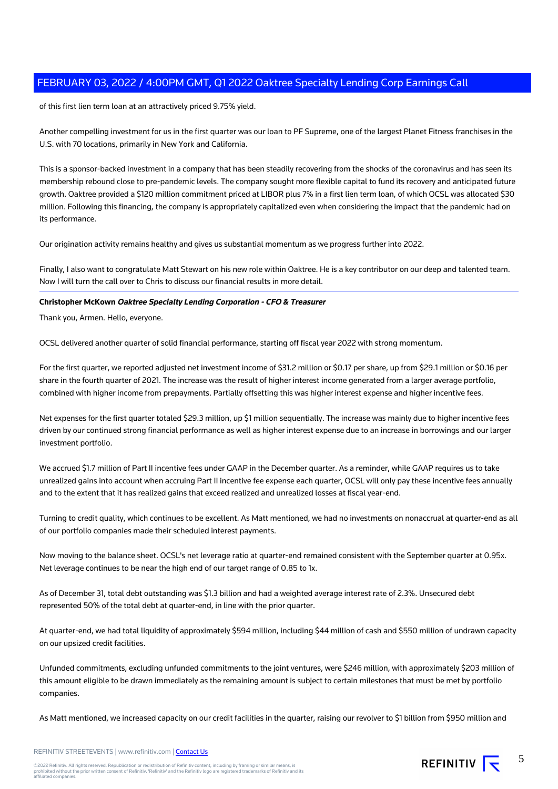of this first lien term loan at an attractively priced 9.75% yield.

Another compelling investment for us in the first quarter was our loan to PF Supreme, one of the largest Planet Fitness franchises in the U.S. with 70 locations, primarily in New York and California.

This is a sponsor-backed investment in a company that has been steadily recovering from the shocks of the coronavirus and has seen its membership rebound close to pre-pandemic levels. The company sought more flexible capital to fund its recovery and anticipated future growth. Oaktree provided a \$120 million commitment priced at LIBOR plus 7% in a first lien term loan, of which OCSL was allocated \$30 million. Following this financing, the company is appropriately capitalized even when considering the impact that the pandemic had on its performance.

Our origination activity remains healthy and gives us substantial momentum as we progress further into 2022.

Finally, I also want to congratulate Matt Stewart on his new role within Oaktree. He is a key contributor on our deep and talented team. Now I will turn the call over to Chris to discuss our financial results in more detail.

# **Christopher McKown Oaktree Specialty Lending Corporation - CFO & Treasurer**

Thank you, Armen. Hello, everyone.

OCSL delivered another quarter of solid financial performance, starting off fiscal year 2022 with strong momentum.

For the first quarter, we reported adjusted net investment income of \$31.2 million or \$0.17 per share, up from \$29.1 million or \$0.16 per share in the fourth quarter of 2021. The increase was the result of higher interest income generated from a larger average portfolio, combined with higher income from prepayments. Partially offsetting this was higher interest expense and higher incentive fees.

Net expenses for the first quarter totaled \$29.3 million, up \$1 million sequentially. The increase was mainly due to higher incentive fees driven by our continued strong financial performance as well as higher interest expense due to an increase in borrowings and our larger investment portfolio.

We accrued \$1.7 million of Part II incentive fees under GAAP in the December quarter. As a reminder, while GAAP requires us to take unrealized gains into account when accruing Part II incentive fee expense each quarter, OCSL will only pay these incentive fees annually and to the extent that it has realized gains that exceed realized and unrealized losses at fiscal year-end.

Turning to credit quality, which continues to be excellent. As Matt mentioned, we had no investments on nonaccrual at quarter-end as all of our portfolio companies made their scheduled interest payments.

Now moving to the balance sheet. OCSL's net leverage ratio at quarter-end remained consistent with the September quarter at 0.95x. Net leverage continues to be near the high end of our target range of 0.85 to 1x.

As of December 31, total debt outstanding was \$1.3 billion and had a weighted average interest rate of 2.3%. Unsecured debt represented 50% of the total debt at quarter-end, in line with the prior quarter.

At quarter-end, we had total liquidity of approximately \$594 million, including \$44 million of cash and \$550 million of undrawn capacity on our upsized credit facilities.

Unfunded commitments, excluding unfunded commitments to the joint ventures, were \$246 million, with approximately \$203 million of this amount eligible to be drawn immediately as the remaining amount is subject to certain milestones that must be met by portfolio companies.

As Matt mentioned, we increased capacity on our credit facilities in the quarter, raising our revolver to \$1 billion from \$950 million and

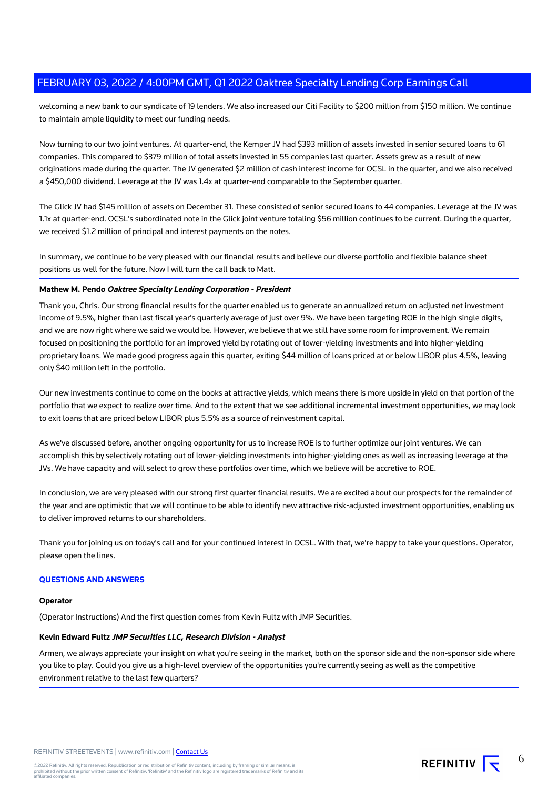welcoming a new bank to our syndicate of 19 lenders. We also increased our Citi Facility to \$200 million from \$150 million. We continue to maintain ample liquidity to meet our funding needs.

Now turning to our two joint ventures. At quarter-end, the Kemper JV had \$393 million of assets invested in senior secured loans to 61 companies. This compared to \$379 million of total assets invested in 55 companies last quarter. Assets grew as a result of new originations made during the quarter. The JV generated \$2 million of cash interest income for OCSL in the quarter, and we also received a \$450,000 dividend. Leverage at the JV was 1.4x at quarter-end comparable to the September quarter.

The Glick JV had \$145 million of assets on December 31. These consisted of senior secured loans to 44 companies. Leverage at the JV was 1.1x at quarter-end. OCSL's subordinated note in the Glick joint venture totaling \$56 million continues to be current. During the quarter, we received \$1.2 million of principal and interest payments on the notes.

In summary, we continue to be very pleased with our financial results and believe our diverse portfolio and flexible balance sheet positions us well for the future. Now I will turn the call back to Matt.

## **Mathew M. Pendo Oaktree Specialty Lending Corporation - President**

Thank you, Chris. Our strong financial results for the quarter enabled us to generate an annualized return on adjusted net investment income of 9.5%, higher than last fiscal year's quarterly average of just over 9%. We have been targeting ROE in the high single digits, and we are now right where we said we would be. However, we believe that we still have some room for improvement. We remain focused on positioning the portfolio for an improved yield by rotating out of lower-yielding investments and into higher-yielding proprietary loans. We made good progress again this quarter, exiting \$44 million of loans priced at or below LIBOR plus 4.5%, leaving only \$40 million left in the portfolio.

Our new investments continue to come on the books at attractive yields, which means there is more upside in yield on that portion of the portfolio that we expect to realize over time. And to the extent that we see additional incremental investment opportunities, we may look to exit loans that are priced below LIBOR plus 5.5% as a source of reinvestment capital.

As we've discussed before, another ongoing opportunity for us to increase ROE is to further optimize our joint ventures. We can accomplish this by selectively rotating out of lower-yielding investments into higher-yielding ones as well as increasing leverage at the JVs. We have capacity and will select to grow these portfolios over time, which we believe will be accretive to ROE.

In conclusion, we are very pleased with our strong first quarter financial results. We are excited about our prospects for the remainder of the year and are optimistic that we will continue to be able to identify new attractive risk-adjusted investment opportunities, enabling us to deliver improved returns to our shareholders.

Thank you for joining us on today's call and for your continued interest in OCSL. With that, we're happy to take your questions. Operator, please open the lines.

## **QUESTIONS AND ANSWERS**

#### **Operator**

(Operator Instructions) And the first question comes from Kevin Fultz with JMP Securities.

# **Kevin Edward Fultz JMP Securities LLC, Research Division - Analyst**

Armen, we always appreciate your insight on what you're seeing in the market, both on the sponsor side and the non-sponsor side where you like to play. Could you give us a high-level overview of the opportunities you're currently seeing as well as the competitive environment relative to the last few quarters?

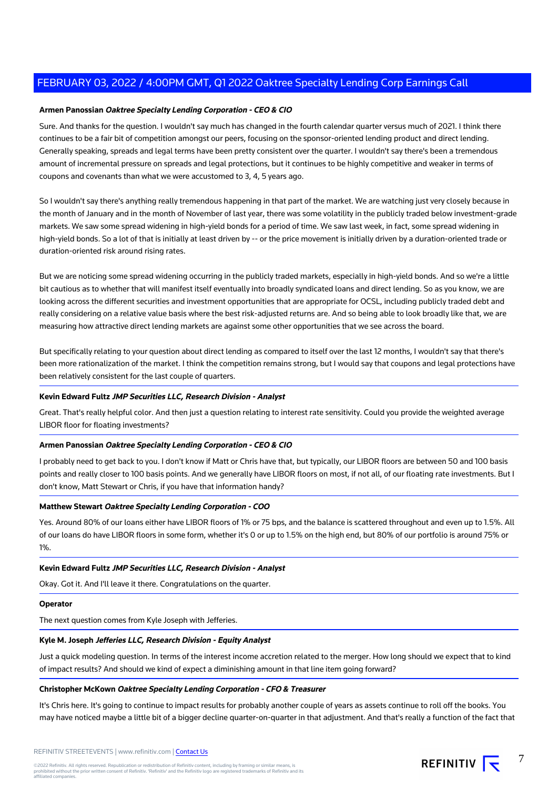# **Armen Panossian Oaktree Specialty Lending Corporation - CEO & CIO**

Sure. And thanks for the question. I wouldn't say much has changed in the fourth calendar quarter versus much of 2021. I think there continues to be a fair bit of competition amongst our peers, focusing on the sponsor-oriented lending product and direct lending. Generally speaking, spreads and legal terms have been pretty consistent over the quarter. I wouldn't say there's been a tremendous amount of incremental pressure on spreads and legal protections, but it continues to be highly competitive and weaker in terms of coupons and covenants than what we were accustomed to 3, 4, 5 years ago.

So I wouldn't say there's anything really tremendous happening in that part of the market. We are watching just very closely because in the month of January and in the month of November of last year, there was some volatility in the publicly traded below investment-grade markets. We saw some spread widening in high-yield bonds for a period of time. We saw last week, in fact, some spread widening in high-yield bonds. So a lot of that is initially at least driven by -- or the price movement is initially driven by a duration-oriented trade or duration-oriented risk around rising rates.

But we are noticing some spread widening occurring in the publicly traded markets, especially in high-yield bonds. And so we're a little bit cautious as to whether that will manifest itself eventually into broadly syndicated loans and direct lending. So as you know, we are looking across the different securities and investment opportunities that are appropriate for OCSL, including publicly traded debt and really considering on a relative value basis where the best risk-adjusted returns are. And so being able to look broadly like that, we are measuring how attractive direct lending markets are against some other opportunities that we see across the board.

But specifically relating to your question about direct lending as compared to itself over the last 12 months, I wouldn't say that there's been more rationalization of the market. I think the competition remains strong, but I would say that coupons and legal protections have been relatively consistent for the last couple of quarters.

## **Kevin Edward Fultz JMP Securities LLC, Research Division - Analyst**

Great. That's really helpful color. And then just a question relating to interest rate sensitivity. Could you provide the weighted average LIBOR floor for floating investments?

## **Armen Panossian Oaktree Specialty Lending Corporation - CEO & CIO**

I probably need to get back to you. I don't know if Matt or Chris have that, but typically, our LIBOR floors are between 50 and 100 basis points and really closer to 100 basis points. And we generally have LIBOR floors on most, if not all, of our floating rate investments. But I don't know, Matt Stewart or Chris, if you have that information handy?

# **Matthew Stewart Oaktree Specialty Lending Corporation - COO**

Yes. Around 80% of our loans either have LIBOR floors of 1% or 75 bps, and the balance is scattered throughout and even up to 1.5%. All of our loans do have LIBOR floors in some form, whether it's 0 or up to 1.5% on the high end, but 80% of our portfolio is around 75% or 1%.

#### **Kevin Edward Fultz JMP Securities LLC, Research Division - Analyst**

Okay. Got it. And I'll leave it there. Congratulations on the quarter.

#### **Operator**

The next question comes from Kyle Joseph with Jefferies.

# **Kyle M. Joseph Jefferies LLC, Research Division - Equity Analyst**

Just a quick modeling question. In terms of the interest income accretion related to the merger. How long should we expect that to kind of impact results? And should we kind of expect a diminishing amount in that line item going forward?

#### **Christopher McKown Oaktree Specialty Lending Corporation - CFO & Treasurer**

It's Chris here. It's going to continue to impact results for probably another couple of years as assets continue to roll off the books. You may have noticed maybe a little bit of a bigger decline quarter-on-quarter in that adjustment. And that's really a function of the fact that

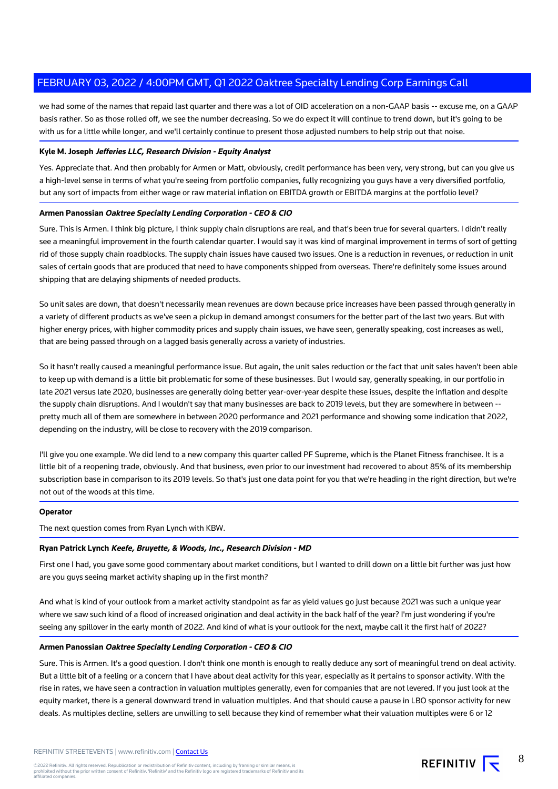we had some of the names that repaid last quarter and there was a lot of OID acceleration on a non-GAAP basis -- excuse me, on a GAAP basis rather. So as those rolled off, we see the number decreasing. So we do expect it will continue to trend down, but it's going to be with us for a little while longer, and we'll certainly continue to present those adjusted numbers to help strip out that noise.

# **Kyle M. Joseph Jefferies LLC, Research Division - Equity Analyst**

Yes. Appreciate that. And then probably for Armen or Matt, obviously, credit performance has been very, very strong, but can you give us a high-level sense in terms of what you're seeing from portfolio companies, fully recognizing you guys have a very diversified portfolio, but any sort of impacts from either wage or raw material inflation on EBITDA growth or EBITDA margins at the portfolio level?

# **Armen Panossian Oaktree Specialty Lending Corporation - CEO & CIO**

Sure. This is Armen. I think big picture, I think supply chain disruptions are real, and that's been true for several quarters. I didn't really see a meaningful improvement in the fourth calendar quarter. I would say it was kind of marginal improvement in terms of sort of getting rid of those supply chain roadblocks. The supply chain issues have caused two issues. One is a reduction in revenues, or reduction in unit sales of certain goods that are produced that need to have components shipped from overseas. There're definitely some issues around shipping that are delaying shipments of needed products.

So unit sales are down, that doesn't necessarily mean revenues are down because price increases have been passed through generally in a variety of different products as we've seen a pickup in demand amongst consumers for the better part of the last two years. But with higher energy prices, with higher commodity prices and supply chain issues, we have seen, generally speaking, cost increases as well, that are being passed through on a lagged basis generally across a variety of industries.

So it hasn't really caused a meaningful performance issue. But again, the unit sales reduction or the fact that unit sales haven't been able to keep up with demand is a little bit problematic for some of these businesses. But I would say, generally speaking, in our portfolio in late 2021 versus late 2020, businesses are generally doing better year-over-year despite these issues, despite the inflation and despite the supply chain disruptions. And I wouldn't say that many businesses are back to 2019 levels, but they are somewhere in between - pretty much all of them are somewhere in between 2020 performance and 2021 performance and showing some indication that 2022, depending on the industry, will be close to recovery with the 2019 comparison.

I'll give you one example. We did lend to a new company this quarter called PF Supreme, which is the Planet Fitness franchisee. It is a little bit of a reopening trade, obviously. And that business, even prior to our investment had recovered to about 85% of its membership subscription base in comparison to its 2019 levels. So that's just one data point for you that we're heading in the right direction, but we're not out of the woods at this time.

#### **Operator**

The next question comes from Ryan Lynch with KBW.

#### **Ryan Patrick Lynch Keefe, Bruyette, & Woods, Inc., Research Division - MD**

First one I had, you gave some good commentary about market conditions, but I wanted to drill down on a little bit further was just how are you guys seeing market activity shaping up in the first month?

And what is kind of your outlook from a market activity standpoint as far as yield values go just because 2021 was such a unique year where we saw such kind of a flood of increased origination and deal activity in the back half of the year? I'm just wondering if you're seeing any spillover in the early month of 2022. And kind of what is your outlook for the next, maybe call it the first half of 2022?

## **Armen Panossian Oaktree Specialty Lending Corporation - CEO & CIO**

Sure. This is Armen. It's a good question. I don't think one month is enough to really deduce any sort of meaningful trend on deal activity. But a little bit of a feeling or a concern that I have about deal activity for this year, especially as it pertains to sponsor activity. With the rise in rates, we have seen a contraction in valuation multiples generally, even for companies that are not levered. If you just look at the equity market, there is a general downward trend in valuation multiples. And that should cause a pause in LBO sponsor activity for new deals. As multiples decline, sellers are unwilling to sell because they kind of remember what their valuation multiples were 6 or 12

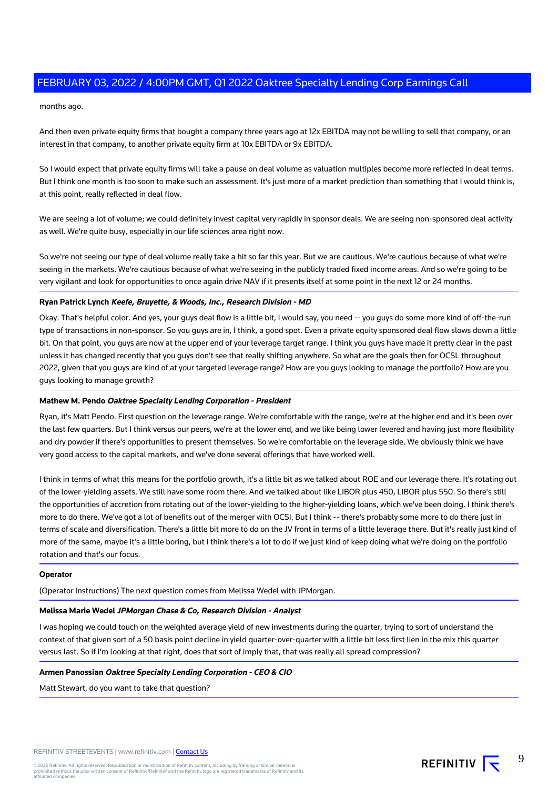months ago.

And then even private equity firms that bought a company three years ago at 12x EBITDA may not be willing to sell that company, or an interest in that company, to another private equity firm at 10x EBITDA or 9x EBITDA.

So I would expect that private equity firms will take a pause on deal volume as valuation multiples become more reflected in deal terms. But I think one month is too soon to make such an assessment. It's just more of a market prediction than something that I would think is, at this point, really reflected in deal flow.

We are seeing a lot of volume; we could definitely invest capital very rapidly in sponsor deals. We are seeing non-sponsored deal activity as well. We're quite busy, especially in our life sciences area right now.

So we're not seeing our type of deal volume really take a hit so far this year. But we are cautious. We're cautious because of what we're seeing in the markets. We're cautious because of what we're seeing in the publicly traded fixed income areas. And so we're going to be very vigilant and look for opportunities to once again drive NAV if it presents itself at some point in the next 12 or 24 months.

# **Ryan Patrick Lynch Keefe, Bruyette, & Woods, Inc., Research Division - MD**

Okay. That's helpful color. And yes, your guys deal flow is a little bit, I would say, you need -- you guys do some more kind of off-the-run type of transactions in non-sponsor. So you guys are in, I think, a good spot. Even a private equity sponsored deal flow slows down a little bit. On that point, you guys are now at the upper end of your leverage target range. I think you guys have made it pretty clear in the past unless it has changed recently that you guys don't see that really shifting anywhere. So what are the goals then for OCSL throughout 2022, given that you guys are kind of at your targeted leverage range? How are you guys looking to manage the portfolio? How are you guys looking to manage growth?

# **Mathew M. Pendo Oaktree Specialty Lending Corporation - President**

Ryan, it's Matt Pendo. First question on the leverage range. We're comfortable with the range, we're at the higher end and it's been over the last few quarters. But I think versus our peers, we're at the lower end, and we like being lower levered and having just more flexibility and dry powder if there's opportunities to present themselves. So we're comfortable on the leverage side. We obviously think we have very good access to the capital markets, and we've done several offerings that have worked well.

I think in terms of what this means for the portfolio growth, it's a little bit as we talked about ROE and our leverage there. It's rotating out of the lower-yielding assets. We still have some room there. And we talked about like LIBOR plus 450, LIBOR plus 550. So there's still the opportunities of accretion from rotating out of the lower-yielding to the higher-yielding loans, which we've been doing. I think there's more to do there. We've got a lot of benefits out of the merger with OCSI. But I think -- there's probably some more to do there just in terms of scale and diversification. There's a little bit more to do on the JV front in terms of a little leverage there. But it's really just kind of more of the same, maybe it's a little boring, but I think there's a lot to do if we just kind of keep doing what we're doing on the portfolio rotation and that's our focus.

#### **Operator**

(Operator Instructions) The next question comes from Melissa Wedel with JPMorgan.

#### **Melissa Marie Wedel JPMorgan Chase & Co, Research Division - Analyst**

I was hoping we could touch on the weighted average yield of new investments during the quarter, trying to sort of understand the context of that given sort of a 50 basis point decline in yield quarter-over-quarter with a little bit less first lien in the mix this quarter versus last. So if I'm looking at that right, does that sort of imply that, that was really all spread compression?

#### **Armen Panossian Oaktree Specialty Lending Corporation - CEO & CIO**

Matt Stewart, do you want to take that question?

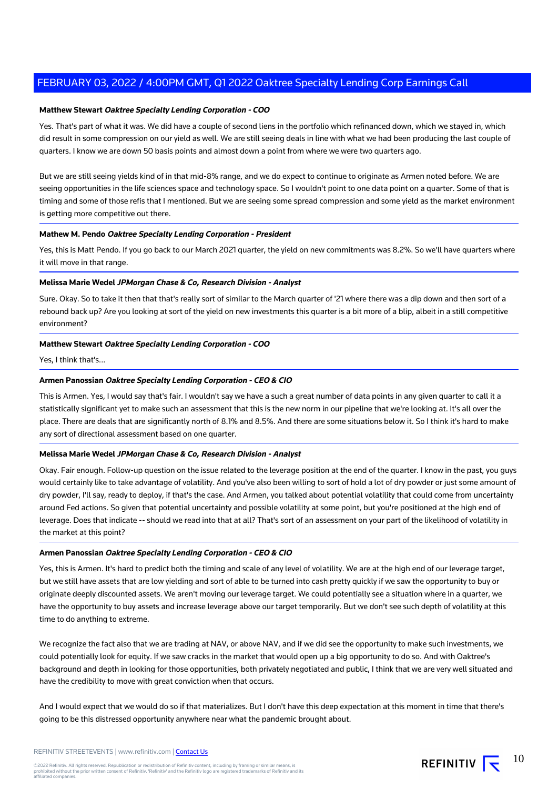## **Matthew Stewart Oaktree Specialty Lending Corporation - COO**

Yes. That's part of what it was. We did have a couple of second liens in the portfolio which refinanced down, which we stayed in, which did result in some compression on our yield as well. We are still seeing deals in line with what we had been producing the last couple of quarters. I know we are down 50 basis points and almost down a point from where we were two quarters ago.

But we are still seeing yields kind of in that mid-8% range, and we do expect to continue to originate as Armen noted before. We are seeing opportunities in the life sciences space and technology space. So I wouldn't point to one data point on a quarter. Some of that is timing and some of those refis that I mentioned. But we are seeing some spread compression and some yield as the market environment is getting more competitive out there.

## **Mathew M. Pendo Oaktree Specialty Lending Corporation - President**

Yes, this is Matt Pendo. If you go back to our March 2021 quarter, the yield on new commitments was 8.2%. So we'll have quarters where it will move in that range.

# **Melissa Marie Wedel JPMorgan Chase & Co, Research Division - Analyst**

Sure. Okay. So to take it then that that's really sort of similar to the March quarter of '21 where there was a dip down and then sort of a rebound back up? Are you looking at sort of the yield on new investments this quarter is a bit more of a blip, albeit in a still competitive environment?

## **Matthew Stewart Oaktree Specialty Lending Corporation - COO**

Yes, I think that's...

## **Armen Panossian Oaktree Specialty Lending Corporation - CEO & CIO**

This is Armen. Yes, I would say that's fair. I wouldn't say we have a such a great number of data points in any given quarter to call it a statistically significant yet to make such an assessment that this is the new norm in our pipeline that we're looking at. It's all over the place. There are deals that are significantly north of 8.1% and 8.5%. And there are some situations below it. So I think it's hard to make any sort of directional assessment based on one quarter.

#### **Melissa Marie Wedel JPMorgan Chase & Co, Research Division - Analyst**

Okay. Fair enough. Follow-up question on the issue related to the leverage position at the end of the quarter. I know in the past, you guys would certainly like to take advantage of volatility. And you've also been willing to sort of hold a lot of dry powder or just some amount of dry powder, I'll say, ready to deploy, if that's the case. And Armen, you talked about potential volatility that could come from uncertainty around Fed actions. So given that potential uncertainty and possible volatility at some point, but you're positioned at the high end of leverage. Does that indicate -- should we read into that at all? That's sort of an assessment on your part of the likelihood of volatility in the market at this point?

# **Armen Panossian Oaktree Specialty Lending Corporation - CEO & CIO**

Yes, this is Armen. It's hard to predict both the timing and scale of any level of volatility. We are at the high end of our leverage target, but we still have assets that are low yielding and sort of able to be turned into cash pretty quickly if we saw the opportunity to buy or originate deeply discounted assets. We aren't moving our leverage target. We could potentially see a situation where in a quarter, we have the opportunity to buy assets and increase leverage above our target temporarily. But we don't see such depth of volatility at this time to do anything to extreme.

We recognize the fact also that we are trading at NAV, or above NAV, and if we did see the opportunity to make such investments, we could potentially look for equity. If we saw cracks in the market that would open up a big opportunity to do so. And with Oaktree's background and depth in looking for those opportunities, both privately negotiated and public, I think that we are very well situated and have the credibility to move with great conviction when that occurs.

And I would expect that we would do so if that materializes. But I don't have this deep expectation at this moment in time that there's going to be this distressed opportunity anywhere near what the pandemic brought about.